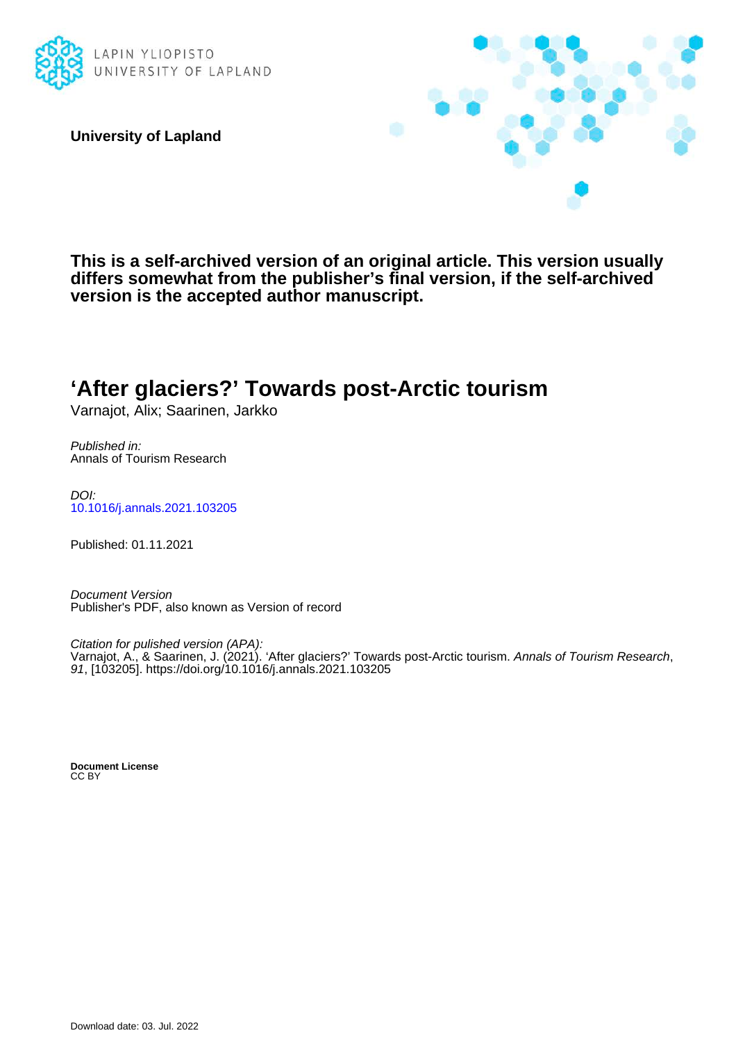

**University of Lapland**



**This is a self-archived version of an original article. This version usually differs somewhat from the publisher's final version, if the self-archived version is the accepted author manuscript.**

## **'After glaciers?' Towards post-Arctic tourism**

Varnajot, Alix; Saarinen, Jarkko

Published in: Annals of Tourism Research

DOI: [10.1016/j.annals.2021.103205](https://doi.org/10.1016/j.annals.2021.103205)

Published: 01.11.2021

Document Version Publisher's PDF, also known as Version of record

Citation for pulished version (APA): Varnajot, A., & Saarinen, J. (2021). 'After glaciers?' Towards post-Arctic tourism. *Annals of Tourism Research*, 91, [103205].<https://doi.org/10.1016/j.annals.2021.103205>

**Document License** CC BY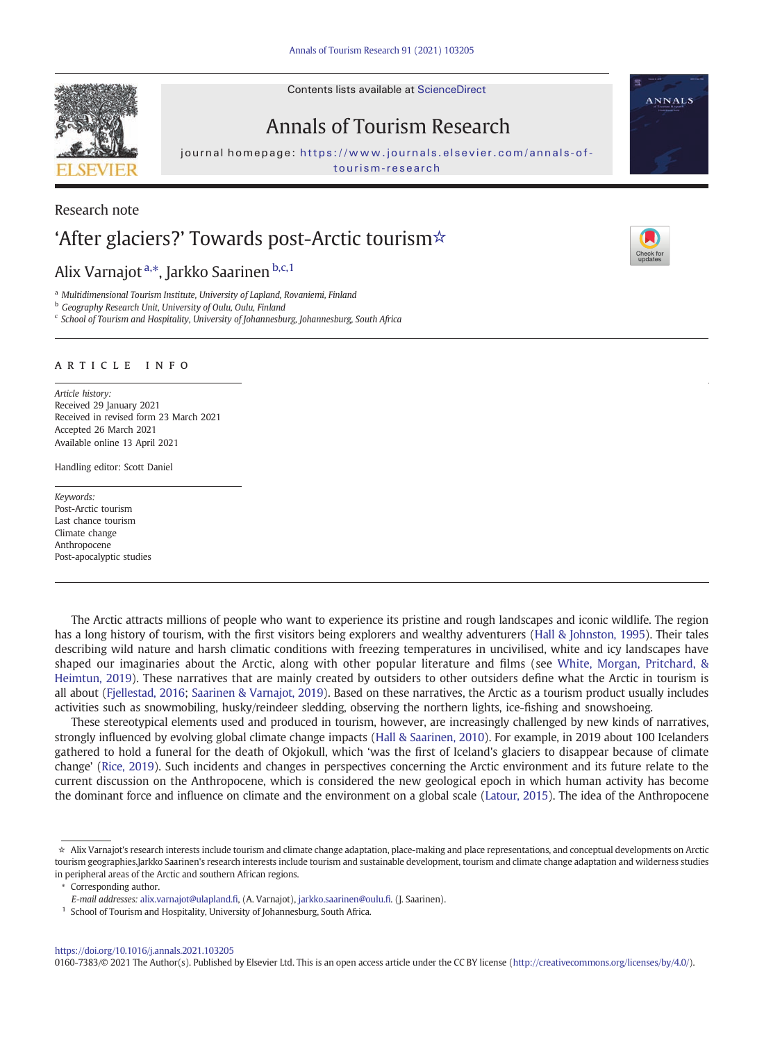# Annals of Tourism Research

journal homepage: [https://www.journals.elsevier.com/annals-of-](https://www.journals.elsevier.com/annals-of-tourism-research)

### Research note

## 'After glaciers?' Towards post-Arctic tourism☆

Alix Varnajot<sup>a,\*</sup>, Jarkko Saarinen b,c,1

<sup>a</sup> Multidimensional Tourism Institute, University of Lapland, Rovaniemi, Finland

**b** Geography Research Unit, University of Oulu, Oulu, Finland

<sup>c</sup> School of Tourism and Hospitality, University of Johannesburg, Johannesburg, South Africa

### article info

Article history: Received 29 January 2021 Received in revised form 23 March 2021 Accepted 26 March 2021 Available online 13 April 2021

Handling editor: Scott Daniel

Keywords: Post-Arctic tourism Last chance tourism Climate change Anthropocene Post-apocalyptic studies

The Arctic attracts millions of people who want to experience its pristine and rough landscapes and iconic wildlife. The region has a long history of tourism, with the first visitors being explorers and wealthy adventurers [\(Hall & Johnston, 1995\)](#page-3-0). Their tales describing wild nature and harsh climatic conditions with freezing temperatures in uncivilised, white and icy landscapes have shaped our imaginaries about the Arctic, along with other popular literature and films (see [White, Morgan, Pritchard, &](#page-3-0) [Heimtun, 2019\)](#page-3-0). These narratives that are mainly created by outsiders to other outsiders define what the Arctic in tourism is all about [\(Fjellestad, 2016;](#page-3-0) [Saarinen & Varnajot, 2019](#page-3-0)). Based on these narratives, the Arctic as a tourism product usually includes activities such as snowmobiling, husky/reindeer sledding, observing the northern lights, ice-fishing and snowshoeing.

These stereotypical elements used and produced in tourism, however, are increasingly challenged by new kinds of narratives, strongly influenced by evolving global climate change impacts ([Hall & Saarinen, 2010](#page-3-0)). For example, in 2019 about 100 Icelanders gathered to hold a funeral for the death of Okjokull, which 'was the first of Iceland's glaciers to disappear because of climate change' [\(Rice, 2019\)](#page-3-0). Such incidents and changes in perspectives concerning the Arctic environment and its future relate to the current discussion on the Anthropocene, which is considered the new geological epoch in which human activity has become the dominant force and influence on climate and the environment on a global scale ([Latour, 2015\)](#page-3-0). The idea of the Anthropocene

Corresponding author.

<https://doi.org/10.1016/j.annals.2021.103205>

0160-7383/© 2021 The Author(s). Published by Elsevier Ltd. This is an open access article under the CC BY license (<http://creativecommons.org/licenses/by/4.0/>).







<sup>☆</sup> Alix Varnajot's research interests include tourism and climate change adaptation, place-making and place representations, and conceptual developments on Arctic tourism geographies.Jarkko Saarinen's research interests include tourism and sustainable development, tourism and climate change adaptation and wilderness studies in peripheral areas of the Arctic and southern African regions.

E-mail addresses: alix.varnajot@ulapland.fi, (A. Varnajot), [jarkko.saarinen@oulu.](jarkko.saarinen@oulu.fi)fi. (J. Saarinen).

<sup>&</sup>lt;sup>1</sup> School of Tourism and Hospitality, University of Johannesburg, South Africa.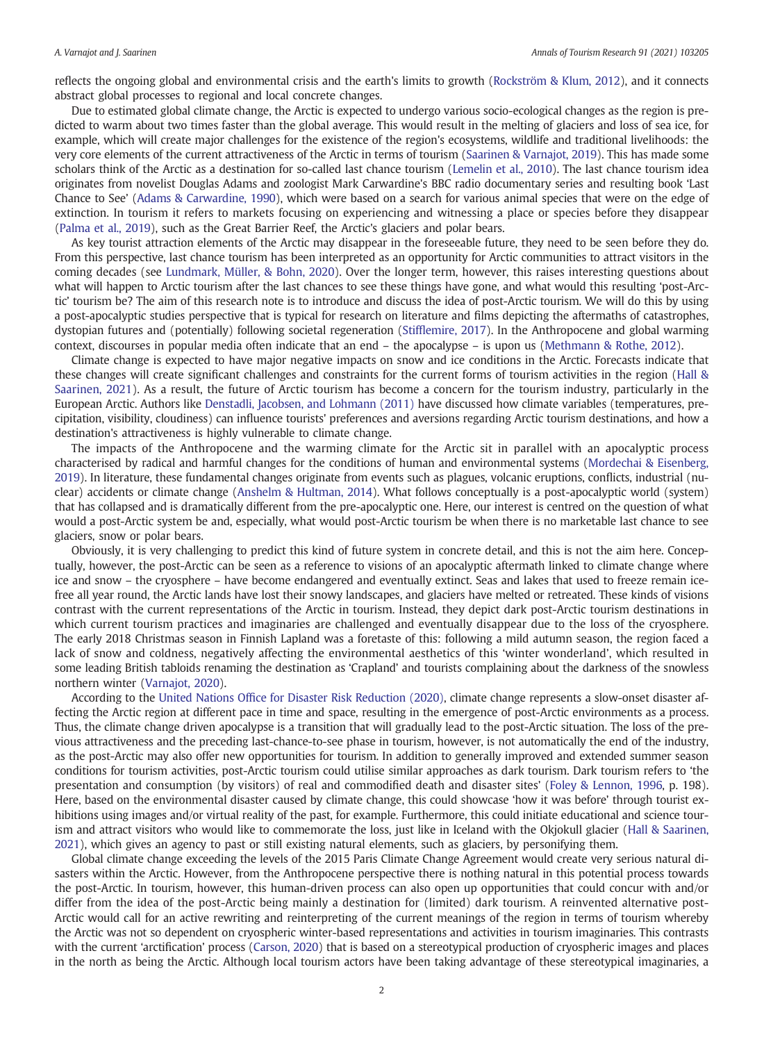reflects the ongoing global and environmental crisis and the earth's limits to growth ([Rockström & Klum, 2012](#page-3-0)), and it connects abstract global processes to regional and local concrete changes.

Due to estimated global climate change, the Arctic is expected to undergo various socio-ecological changes as the region is predicted to warm about two times faster than the global average. This would result in the melting of glaciers and loss of sea ice, for example, which will create major challenges for the existence of the region's ecosystems, wildlife and traditional livelihoods: the very core elements of the current attractiveness of the Arctic in terms of tourism [\(Saarinen & Varnajot, 2019](#page-3-0)). This has made some scholars think of the Arctic as a destination for so-called last chance tourism ([Lemelin et al., 2010](#page-3-0)). The last chance tourism idea originates from novelist Douglas Adams and zoologist Mark Carwardine's BBC radio documentary series and resulting book 'Last Chance to See' ([Adams & Carwardine, 1990](#page-3-0)), which were based on a search for various animal species that were on the edge of extinction. In tourism it refers to markets focusing on experiencing and witnessing a place or species before they disappear [\(Palma et al., 2019](#page-3-0)), such as the Great Barrier Reef, the Arctic's glaciers and polar bears.

As key tourist attraction elements of the Arctic may disappear in the foreseeable future, they need to be seen before they do. From this perspective, last chance tourism has been interpreted as an opportunity for Arctic communities to attract visitors in the coming decades (see [Lundmark, Müller, & Bohn, 2020](#page-3-0)). Over the longer term, however, this raises interesting questions about what will happen to Arctic tourism after the last chances to see these things have gone, and what would this resulting 'post-Arctic' tourism be? The aim of this research note is to introduce and discuss the idea of post-Arctic tourism. We will do this by using a post-apocalyptic studies perspective that is typical for research on literature and films depicting the aftermaths of catastrophes, dystopian futures and (potentially) following societal regeneration (Stiffl[emire, 2017\)](#page-3-0). In the Anthropocene and global warming context, discourses in popular media often indicate that an end – the apocalypse – is upon us [\(Methmann & Rothe, 2012](#page-3-0)).

Climate change is expected to have major negative impacts on snow and ice conditions in the Arctic. Forecasts indicate that these changes will create significant challenges and constraints for the current forms of tourism activities in the region ([Hall &](#page-3-0) [Saarinen, 2021](#page-3-0)). As a result, the future of Arctic tourism has become a concern for the tourism industry, particularly in the European Arctic. Authors like [Denstadli, Jacobsen, and Lohmann \(2011\)](#page-3-0) have discussed how climate variables (temperatures, precipitation, visibility, cloudiness) can influence tourists' preferences and aversions regarding Arctic tourism destinations, and how a destination's attractiveness is highly vulnerable to climate change.

The impacts of the Anthropocene and the warming climate for the Arctic sit in parallel with an apocalyptic process characterised by radical and harmful changes for the conditions of human and environmental systems [\(Mordechai & Eisenberg,](#page-3-0) [2019\)](#page-3-0). In literature, these fundamental changes originate from events such as plagues, volcanic eruptions, conflicts, industrial (nuclear) accidents or climate change [\(Anshelm & Hultman, 2014](#page-3-0)). What follows conceptually is a post-apocalyptic world (system) that has collapsed and is dramatically different from the pre-apocalyptic one. Here, our interest is centred on the question of what would a post-Arctic system be and, especially, what would post-Arctic tourism be when there is no marketable last chance to see glaciers, snow or polar bears.

Obviously, it is very challenging to predict this kind of future system in concrete detail, and this is not the aim here. Conceptually, however, the post-Arctic can be seen as a reference to visions of an apocalyptic aftermath linked to climate change where ice and snow – the cryosphere – have become endangered and eventually extinct. Seas and lakes that used to freeze remain icefree all year round, the Arctic lands have lost their snowy landscapes, and glaciers have melted or retreated. These kinds of visions contrast with the current representations of the Arctic in tourism. Instead, they depict dark post-Arctic tourism destinations in which current tourism practices and imaginaries are challenged and eventually disappear due to the loss of the cryosphere. The early 2018 Christmas season in Finnish Lapland was a foretaste of this: following a mild autumn season, the region faced a lack of snow and coldness, negatively affecting the environmental aesthetics of this 'winter wonderland', which resulted in some leading British tabloids renaming the destination as 'Crapland' and tourists complaining about the darkness of the snowless northern winter ([Varnajot, 2020](#page-3-0)).

According to the United Nations Offi[ce for Disaster Risk Reduction \(2020\)](#page-3-0), climate change represents a slow-onset disaster affecting the Arctic region at different pace in time and space, resulting in the emergence of post-Arctic environments as a process. Thus, the climate change driven apocalypse is a transition that will gradually lead to the post-Arctic situation. The loss of the previous attractiveness and the preceding last-chance-to-see phase in tourism, however, is not automatically the end of the industry, as the post-Arctic may also offer new opportunities for tourism. In addition to generally improved and extended summer season conditions for tourism activities, post-Arctic tourism could utilise similar approaches as dark tourism. Dark tourism refers to 'the presentation and consumption (by visitors) of real and commodified death and disaster sites' ([Foley & Lennon, 1996](#page-3-0), p. 198). Here, based on the environmental disaster caused by climate change, this could showcase 'how it was before' through tourist exhibitions using images and/or virtual reality of the past, for example. Furthermore, this could initiate educational and science tourism and attract visitors who would like to commemorate the loss, just like in Iceland with the Okjokull glacier [\(Hall & Saarinen,](#page-3-0) [2021\)](#page-3-0), which gives an agency to past or still existing natural elements, such as glaciers, by personifying them.

Global climate change exceeding the levels of the 2015 Paris Climate Change Agreement would create very serious natural disasters within the Arctic. However, from the Anthropocene perspective there is nothing natural in this potential process towards the post-Arctic. In tourism, however, this human-driven process can also open up opportunities that could concur with and/or differ from the idea of the post-Arctic being mainly a destination for (limited) dark tourism. A reinvented alternative post-Arctic would call for an active rewriting and reinterpreting of the current meanings of the region in terms of tourism whereby the Arctic was not so dependent on cryospheric winter-based representations and activities in tourism imaginaries. This contrasts with the current 'arctification' process ([Carson, 2020\)](#page-3-0) that is based on a stereotypical production of cryospheric images and places in the north as being the Arctic. Although local tourism actors have been taking advantage of these stereotypical imaginaries, a